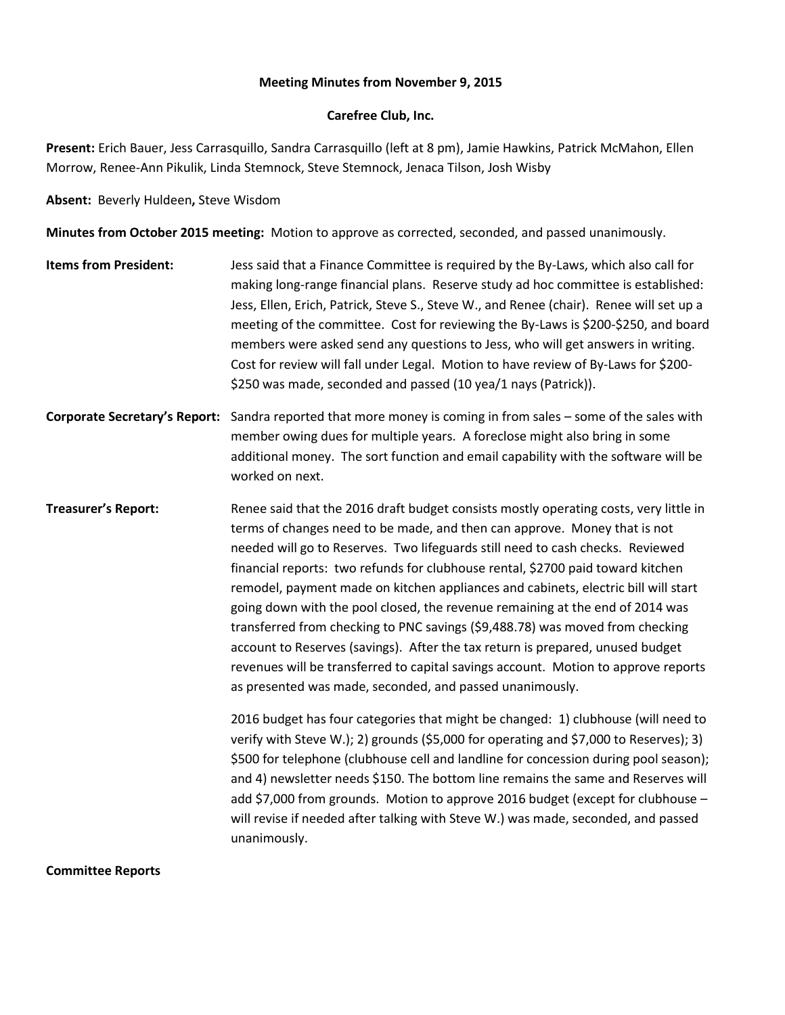### **Meeting Minutes from November 9, 2015**

### **Carefree Club, Inc.**

**Present:** Erich Bauer, Jess Carrasquillo, Sandra Carrasquillo (left at 8 pm), Jamie Hawkins, Patrick McMahon, Ellen Morrow, Renee-Ann Pikulik, Linda Stemnock, Steve Stemnock, Jenaca Tilson, Josh Wisby

**Absent:** Beverly Huldeen**,** Steve Wisdom

**Minutes from October 2015 meeting:** Motion to approve as corrected, seconded, and passed unanimously.

- **Items from President:** Jess said that a Finance Committee is required by the By-Laws, which also call for making long-range financial plans. Reserve study ad hoc committee is established: Jess, Ellen, Erich, Patrick, Steve S., Steve W., and Renee (chair). Renee will set up a meeting of the committee. Cost for reviewing the By-Laws is \$200-\$250, and board members were asked send any questions to Jess, who will get answers in writing. Cost for review will fall under Legal. Motion to have review of By-Laws for \$200- \$250 was made, seconded and passed (10 yea/1 nays (Patrick)).
- **Corporate Secretary's Report:** Sandra reported that more money is coming in from sales some of the sales with member owing dues for multiple years. A foreclose might also bring in some additional money. The sort function and email capability with the software will be worked on next.
- **Treasurer's Report:** Renee said that the 2016 draft budget consists mostly operating costs, very little in terms of changes need to be made, and then can approve. Money that is not needed will go to Reserves. Two lifeguards still need to cash checks. Reviewed financial reports: two refunds for clubhouse rental, \$2700 paid toward kitchen remodel, payment made on kitchen appliances and cabinets, electric bill will start going down with the pool closed, the revenue remaining at the end of 2014 was transferred from checking to PNC savings (\$9,488.78) was moved from checking account to Reserves (savings). After the tax return is prepared, unused budget revenues will be transferred to capital savings account. Motion to approve reports as presented was made, seconded, and passed unanimously.

2016 budget has four categories that might be changed: 1) clubhouse (will need to verify with Steve W.); 2) grounds (\$5,000 for operating and \$7,000 to Reserves); 3) \$500 for telephone (clubhouse cell and landline for concession during pool season); and 4) newsletter needs \$150. The bottom line remains the same and Reserves will add \$7,000 from grounds. Motion to approve 2016 budget (except for clubhouse – will revise if needed after talking with Steve W.) was made, seconded, and passed unanimously.

**Committee Reports**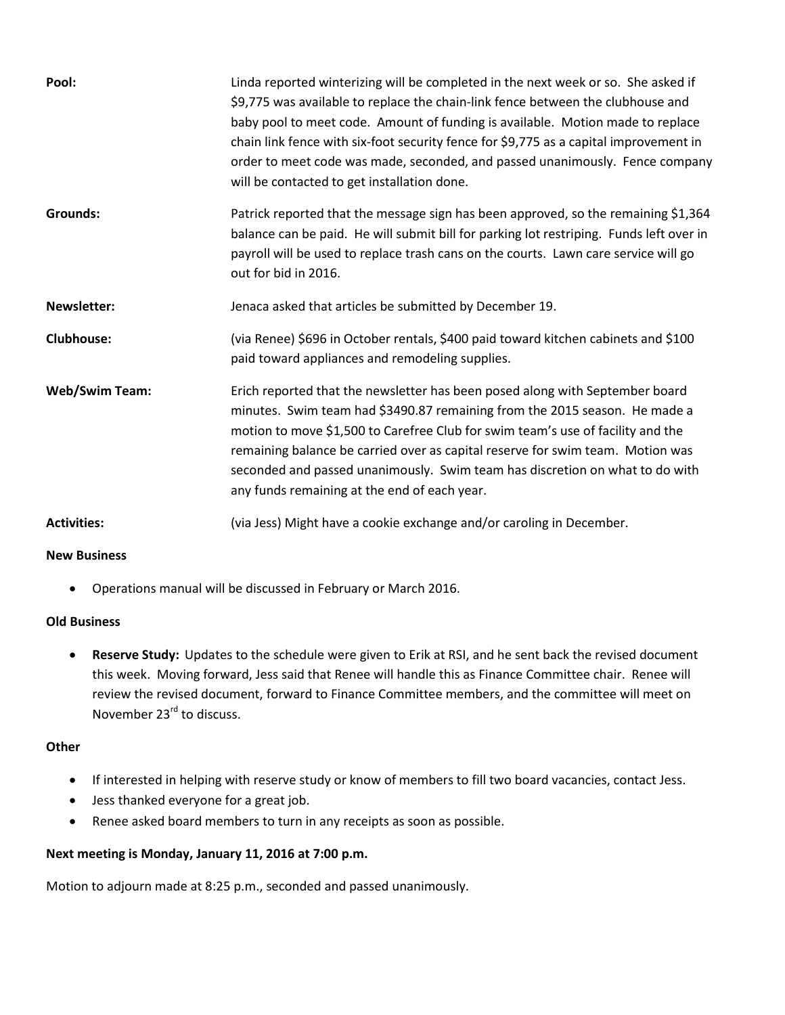| Pool:                 | Linda reported winterizing will be completed in the next week or so. She asked if<br>\$9,775 was available to replace the chain-link fence between the clubhouse and<br>baby pool to meet code. Amount of funding is available. Motion made to replace<br>chain link fence with six-foot security fence for \$9,775 as a capital improvement in<br>order to meet code was made, seconded, and passed unanimously. Fence company<br>will be contacted to get installation done. |
|-----------------------|--------------------------------------------------------------------------------------------------------------------------------------------------------------------------------------------------------------------------------------------------------------------------------------------------------------------------------------------------------------------------------------------------------------------------------------------------------------------------------|
| <b>Grounds:</b>       | Patrick reported that the message sign has been approved, so the remaining \$1,364<br>balance can be paid. He will submit bill for parking lot restriping. Funds left over in<br>payroll will be used to replace trash cans on the courts. Lawn care service will go<br>out for bid in 2016.                                                                                                                                                                                   |
| <b>Newsletter:</b>    | Jenaca asked that articles be submitted by December 19.                                                                                                                                                                                                                                                                                                                                                                                                                        |
| <b>Clubhouse:</b>     | (via Renee) \$696 in October rentals, \$400 paid toward kitchen cabinets and \$100<br>paid toward appliances and remodeling supplies.                                                                                                                                                                                                                                                                                                                                          |
| <b>Web/Swim Team:</b> | Erich reported that the newsletter has been posed along with September board<br>minutes. Swim team had \$3490.87 remaining from the 2015 season. He made a<br>motion to move \$1,500 to Carefree Club for swim team's use of facility and the<br>remaining balance be carried over as capital reserve for swim team. Motion was<br>seconded and passed unanimously. Swim team has discretion on what to do with<br>any funds remaining at the end of each year.                |
| <b>Activities:</b>    | (via Jess) Might have a cookie exchange and/or caroling in December.                                                                                                                                                                                                                                                                                                                                                                                                           |

## **New Business**

Operations manual will be discussed in February or March 2016.

# **Old Business**

 **Reserve Study:** Updates to the schedule were given to Erik at RSI, and he sent back the revised document this week. Moving forward, Jess said that Renee will handle this as Finance Committee chair. Renee will review the revised document, forward to Finance Committee members, and the committee will meet on November 23<sup>rd</sup> to discuss.

## **Other**

- If interested in helping with reserve study or know of members to fill two board vacancies, contact Jess.
- Jess thanked everyone for a great job.
- Renee asked board members to turn in any receipts as soon as possible.

## **Next meeting is Monday, January 11, 2016 at 7:00 p.m.**

Motion to adjourn made at 8:25 p.m., seconded and passed unanimously.